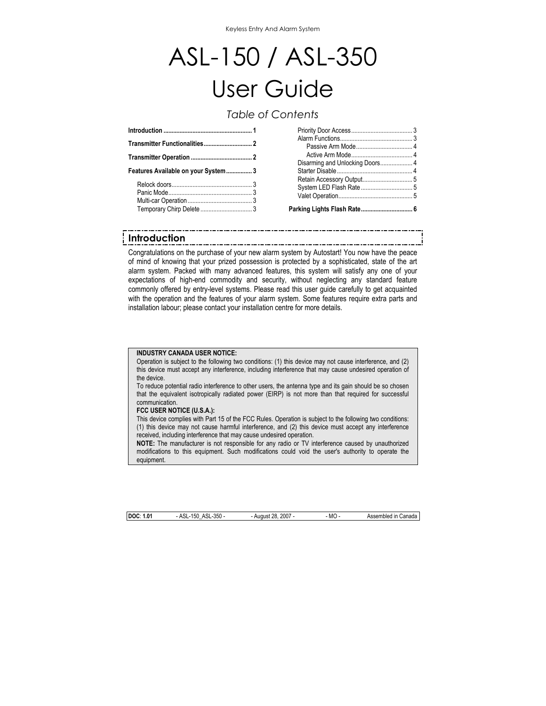# ASL-150 / ASL-350 User Guide

# *Table of Contents*

| Features Available on your System3 |  |  |  |
|------------------------------------|--|--|--|
|                                    |  |  |  |

| Parking Lights Flash Rate 6 |  |
|-----------------------------|--|

# **Introduction**

Congratulations on the purchase of your new alarm system by Autostart! You now have the peace of mind of knowing that your prized possession is protected by a sophisticated, state of the art alarm system. Packed with many advanced features, this system will satisfy any one of your expectations of high-end commodity and security, without neglecting any standard feature commonly offered by entry-level systems. Please read this user guide carefully to get acquainted with the operation and the features of your alarm system. Some features require extra parts and installation labour; please contact your installation centre for more details.

#### **INDUSTRY CANADA USER NOTICE:**

Operation is subject to the following two conditions: (1) this device may not cause interference, and (2) this device must accept any interference, including interference that may cause undesired operation of the device.

To reduce potential radio interference to other users, the antenna type and its gain should be so chosen that the equivalent isotropically radiated power (EIRP) is not more than that required for successful communication.

#### **FCC USER NOTICE (U.S.A.):**

This device complies with Part 15 of the FCC Rules. Operation is subject to the following two conditions: (1) this device may not cause harmful interference, and (2) this device must accept any interference received, including interference that may cause undesired operation.

**NOTE:** The manufacturer is not responsible for any radio or TV interference caused by unauthorized modifications to this equipment. Such modifications could void the user's authority to operate the equipment.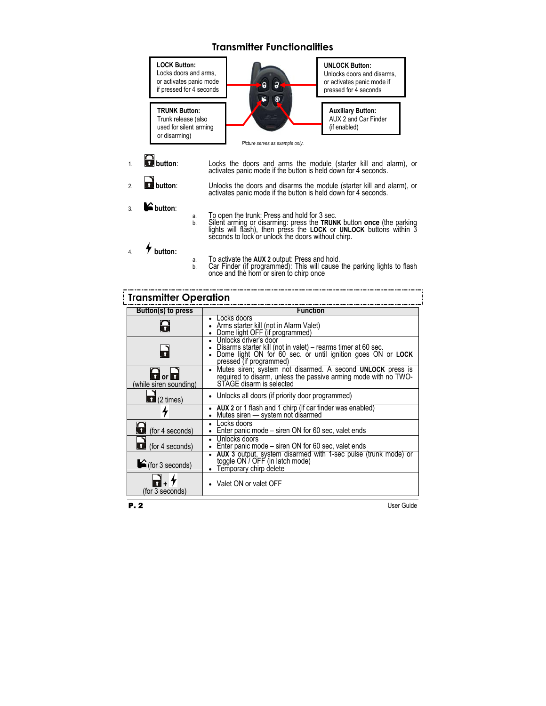

- 
- b. Silent arming or disarming: press the **TRUNK** button **once** (the parking lights will flash), then press the **LOCK** or **UNLOCK** buttons within 3 seconds to lock or unlock the doors without chirp.
- a. To activate the **AUX 2** output: Press and hold.
- b. Car Finder (if programmed): This will cause the parking lights to flash once and the horn or siren to chirp once

| <b>Transmitter Operation</b>                           |                                                                                                                                                                                        |  |  |  |
|--------------------------------------------------------|----------------------------------------------------------------------------------------------------------------------------------------------------------------------------------------|--|--|--|
| Button(s) to press                                     | <b>Function</b>                                                                                                                                                                        |  |  |  |
| 8                                                      | Locks doors<br>Arms starter kill (not in Alarm Valet)<br>Dome light OFF (if programmed)                                                                                                |  |  |  |
| G                                                      | • Unlocks driver's door<br>• Disarms starter kill (not in valet) – rearms timer at 60 sec.<br>• Dome light ON for 60 sec. or until ignition goes ON or LOCK<br>pressed (if programmed) |  |  |  |
| $\mathbf{G}$ or $\mathbf{G}$<br>(while siren sounding) | Mutes siren; system not disarmed. A second UNLOCK press is<br>$\bullet$<br>required to disarm, unless the passive arming mode with no TWO-<br>STAGF disarm is selected                 |  |  |  |
| $\bullet$ (2 times)                                    | • Unlocks all doors (if priority door programmed)                                                                                                                                      |  |  |  |
|                                                        | AUX 2 or 1 flash and 1 chirp (if car finder was enabled)<br>Mutes siren — system not disarmed<br>٠                                                                                     |  |  |  |
| $\bigodot$ (for 4 seconds)                             | Locks doors<br>$\bullet$<br>Enter panic mode – siren ON for 60 sec, valet ends                                                                                                         |  |  |  |
| $\bullet$ (for 4 seconds)                              | Unlocks doors<br>$\bullet$<br>Enter panic mode – siren ON for 60 sec, valet ends                                                                                                       |  |  |  |
| $\bigcirc$ (for 3 seconds)                             | • AUX 3 output, system disarmed with 1-sec pulse (trunk mode) or<br>toggle ON / OFF (in latch mode)<br>Temporary chirp delete                                                          |  |  |  |
| (for 3 seconds)                                        | • Valet ON or valet OFF                                                                                                                                                                |  |  |  |

4. **button:**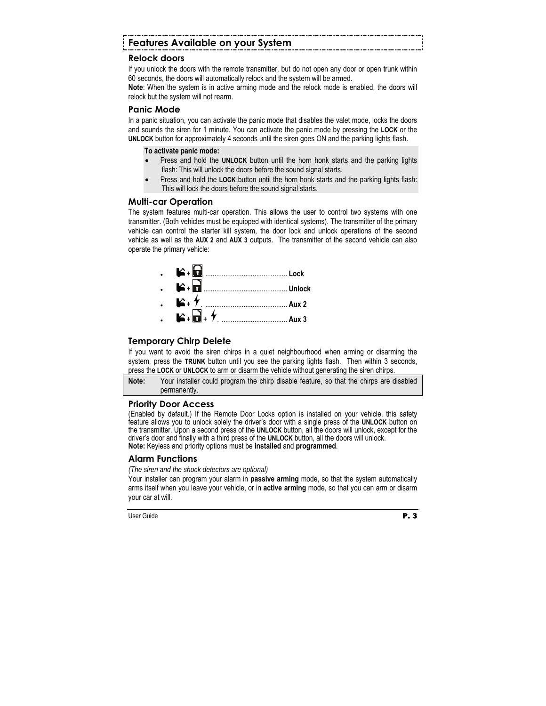# **Features Available on your System**

# **Relock doors**

If you unlock the doors with the remote transmitter, but do not open any door or open trunk within 60 seconds, the doors will automatically relock and the system will be armed.

**Note**: When the system is in active arming mode and the relock mode is enabled, the doors will relock but the system will not rearm.

# **Panic Mode**

In a panic situation, you can activate the panic mode that disables the valet mode, locks the doors and sounds the siren for 1 minute. You can activate the panic mode by pressing the **LOCK** or the **UNLOCK** button for approximately 4 seconds until the siren goes ON and the parking lights flash.

#### **To activate panic mode:**

- Press and hold the **UNLOCK** button until the horn honk starts and the parking lights flash: This will unlock the doors before the sound signal starts.
- Press and hold the **LOCK** button until the horn honk starts and the parking lights flash: This will lock the doors before the sound signal starts.

## **Multi-car Operation**

The system features multi-car operation. This allows the user to control two systems with one transmitter. (Both vehicles must be equipped with identical systems). The transmitter of the primary vehicle can control the starter kill system, the door lock and unlock operations of the second vehicle as well as the **AUX 2** and **AUX 3** outputs. The transmitter of the second vehicle can also operate the primary vehicle:



# **Temporary Chirp Delete**

If you want to avoid the siren chirps in a quiet neighbourhood when arming or disarming the system, press the **TRUNK** button until you see the parking lights flash. Then within 3 seconds, press the **LOCK** or **UNLOCK** to arm or disarm the vehicle without generating the siren chirps.

**Note:** Your installer could program the chirp disable feature, so that the chirps are disabled permanently.

# **Priority Door Access**

(Enabled by default.) If the Remote Door Locks option is installed on your vehicle, this safety feature allows you to unlock solely the driver's door with a single press of the **UNLOCK** button on the transmitter. Upon a second press of the **UNLOCK** button, all the doors will unlock, except for the driver's door and finally with a third press of the **UNLOCK** button, all the doors will unlock. **Note:** Keyless and priority options must be **installed** and **programmed**.

# **Alarm Functions**

#### *(The siren and the shock detectors are optional)*

Your installer can program your alarm in **passive arming** mode, so that the system automatically arms itself when you leave your vehicle, or in **active arming** mode, so that you can arm or disarm your car at will.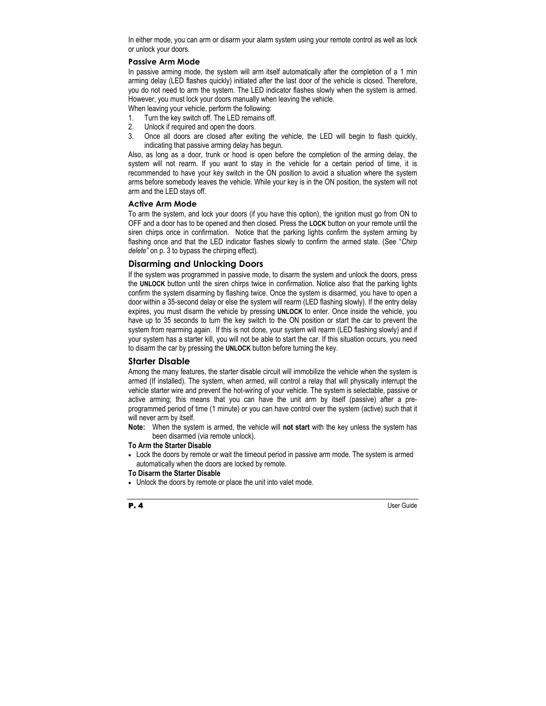In either mode, you can arm or disarm your alarm system using your remote control as well as lock or unlock your doors.

#### **Passive Arm Mode**

In passive arming mode, the system will arm itself automatically after the completion of a 1 min arming delay (LED flashes quickly) initiated after the last door of the vehicle is closed. Therefore, you do not need to arm the system. The LED indicator flashes slowly when the system is armed. However, you must lock your doors manually when leaving the vehicle.

When leaving your vehicle, perform the following:

- 1. Turn the key switch off. The LED remains off.
- 2. Unlock if required and open the doors.
- 3. Once all doors are closed after exiting the vehicle, the LED will begin to flash quickly, indicating that passive arming delay has begun.

Also, as long as a door, trunk or hood is open before the completion of the arming delay, the system will not rearm. If you want to stay in the vehicle for a certain period of time, it is recommended to have your key switch in the ON position to avoid a situation where the system arms before somebody leaves the vehicle. While your key is in the ON position, the system will not arm and the LED stays off.

#### **Active Arm Mode**

To arm the system, and lock your doors (if you have this option), the ignition must go from ON to OFF and a door has to be opened and then closed. Press the **LOCK** button on your remote until the siren chirps once in confirmation. Notice that the parking lights confirm the system arming by flashing once and that the LED indicator flashes slowly to confirm the armed state. (See "*Chirp delete"* on p. 3 to bypass the chirping effect).

#### **Disarming and Unlocking Doors**

If the system was programmed in passive mode, to disarm the system and unlock the doors, press the **UNLOCK** button until the siren chirps twice in confirmation. Notice also that the parking lights confirm the system disarming by flashing twice. Once the system is disarmed, you have to open a door within a 35-second delay or else the system will rearm (LED flashing slowly). If the entry delay expires, you must disarm the vehicle by pressing **UNLOCK** to enter. Once inside the vehicle, you have up to 35 seconds to turn the key switch to the ON position or start the car to prevent the system from rearming again. If this is not done, your system will rearm (LED flashing slowly) and if your system has a starter kill, you will not be able to start the car. If this situation occurs, you need to disarm the car by pressing the **UNLOCK** button before turning the key.

## **Starter Disable**

Among the many features, the starter disable circuit will immobilize the vehicle when the system is armed (If installed). The system, when armed, will control a relay that will physically interrupt the vehicle starter wire and prevent the hot-wiring of your vehicle. The system is selectable, passive or active arming; this means that you can have the unit arm by itself (passive) after a preprogrammed period of time (1 minute) or you can have control over the system (active) such that it will never arm by itself.

**Note:** When the system is armed, the vehicle will **not start** with the key unless the system has been disarmed (via remote unlock).

#### **To Arm the Starter Disable**

• Lock the doors by remote or wait the timeout period in passive arm mode. The system is armed automatically when the doors are locked by remote.

#### **To Disarm the Starter Disable**

• Unlock the doors by remote or place the unit into valet mode.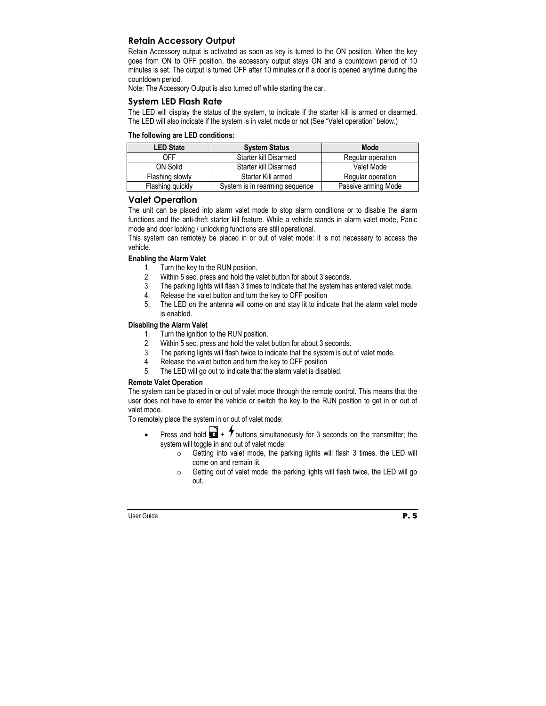# **Retain Accessory Output**

Retain Accessory output is activated as soon as key is turned to the ON position. When the key goes from ON to OFF position, the accessory output stays ON and a countdown period of 10 minutes is set. The output is turned OFF after 10 minutes or if a door is opened anytime during the countdown period.

Note: The Accessory Output is also turned off while starting the car.

#### **System LED Flash Rate**

The LED will display the status of the system, to indicate if the starter kill is armed or disarmed. The LED will also indicate if the system is in valet mode or not (See "Valet operation" below.)

#### **The following are LED conditions:**

| <b>LED State</b> | <b>System Status</b>           | Mode                |
|------------------|--------------------------------|---------------------|
| 0FF              | Starter kill Disarmed          | Regular operation   |
| ON Solid         | Starter kill Disarmed          | Valet Mode          |
| Flashing slowly  | Starter Kill armed             | Regular operation   |
| Flashing quickly | System is in rearming sequence | Passive arming Mode |

#### **Valet Operation**

The unit can be placed into alarm valet mode to stop alarm conditions or to disable the alarm functions and the anti-theft starter kill feature. While a vehicle stands in alarm valet mode, Panic mode and door locking / unlocking functions are still operational.

This system can remotely be placed in or out of valet mode: it is not necessary to access the vehicle.

#### **Enabling the Alarm Valet**

- 1. Turn the key to the RUN position.
- 2. Within 5 sec. press and hold the valet button for about 3 seconds.
- 3. The parking lights will flash 3 times to indicate that the system has entered valet mode.
- 4. Release the valet button and turn the key to OFF position
- 5. The LED on the antenna will come on and stay lit to indicate that the alarm valet mode is enabled.

#### **Disabling the Alarm Valet**

- 1. Turn the ignition to the RUN position.
- 2. Within 5 sec. press and hold the valet button for about 3 seconds.
- 3. The parking lights will flash twice to indicate that the system is out of valet mode.
- 4. Release the valet button and turn the key to OFF position
- 5. The LED will go out to indicate that the alarm valet is disabled.

#### **Remote Valet Operation**

The system can be placed in or out of valet mode through the remote control. This means that the user does not have to enter the vehicle or switch the key to the RUN position to get in or out of valet mode.

To remotely place the system in or out of valet mode:

- Press and hold  $\blacksquare$  +  $\blacktriangledown$  buttons simultaneously for 3 seconds on the transmitter; the system will toggle in and out of valet mode:
	- $\circ$  Getting into valet mode, the parking lights will flash 3 times, the LED will come on and remain lit.
	- o Getting out of valet mode, the parking lights will flash twice, the LED will go out.